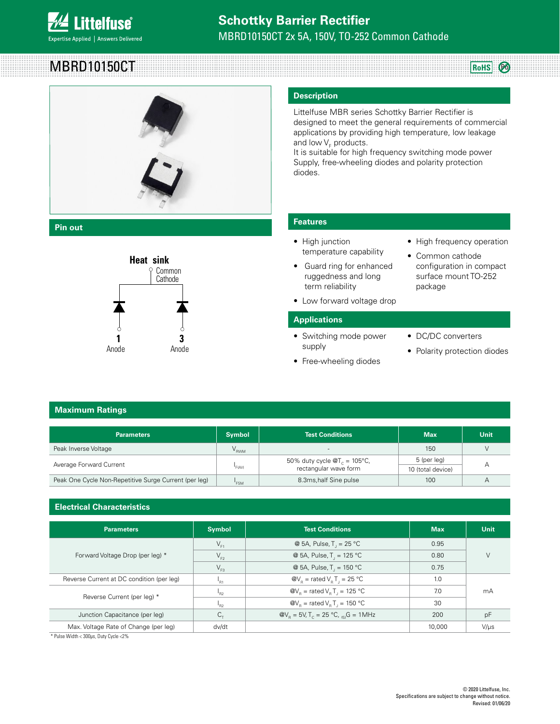

# MBRD10150CT



**Pin out**



Common Anode

#### **Description**

Littelfuse MBR series Schottky Barrier Rectifier is designed to meet the general requirements of commercial applications by providing high temperature, low leakage and low  $\mathsf{V}_\mathsf{F}$  products.

It is suitable for high frequency switching mode power Supply, free-wheeling diodes and polarity protection diodes.

#### **Features**

- High junction temperature capability
- **•** Guard ring for enhanced ruggedness and long term reliability Pouu
	- Low forward voltage drop

#### **Applications**

- Switching mode power **1 2 3 1 2 3** supply
	- Free-wheeling diodes

• High frequency operation

**RoHS** 

- Common cathode configuration in compact surface mount TO-252 package
- DC/DC converters
- 
- 

Common Cathode Pinout <sup>3</sup>

### **Maximum Ratings**

| <b>Parameters</b>                                     | <b>Symbol</b>                                                                                                           | <b>Test Conditions</b>   | <b>Max</b> | <b>Unit</b> |
|-------------------------------------------------------|-------------------------------------------------------------------------------------------------------------------------|--------------------------|------------|-------------|
| Peak Inverse Voltage                                  | $V_{RWM}$                                                                                                               | $\overline{\phantom{a}}$ | 150        |             |
| Average Forward Current                               | 5 (per leg)<br>50% duty cycle $\mathcal{Q}T_c = 105^{\circ}C$ ,<br>rectangular wave form<br>"F(AV)<br>10 (total device) |                          | А          |             |
|                                                       |                                                                                                                         |                          |            |             |
| Peak One Cycle Non-Repetitive Surge Current (per leg) | 'FSM                                                                                                                    | 8.3ms, half Sine pulse   | 100        | А           |

#### **Electrical Characteristics**

| <b>Parameters</b>                         | <b>Symbol</b> | <b>Test Conditions</b>                                                            | <b>Max</b> | <b>Unit</b> |
|-------------------------------------------|---------------|-----------------------------------------------------------------------------------|------------|-------------|
| Forward Voltage Drop (per leg) *          | $V_{F1}$      | @ 5A, Pulse, $T_1 = 25 \degree C$                                                 | 0.95       |             |
|                                           | $V_{F2}$      | @ 5A, Pulse, T <sub>,</sub> = 125 °C                                              | 0.80       |             |
|                                           | $V_{F3}$      | @ 5A, Pulse, $T_1 = 150 °C$                                                       | 0.75       |             |
| Reverse Current at DC condition (per leg) | 'R1           | $\omega_{\rm b}$ = rated V <sub>B</sub> T <sub>1</sub> = 25 °C                    | 1.0        |             |
| Reverse Current (per leg) *               | $n_{R2}$      | $\omega_{\rm b}$ = rated V <sub>B</sub> T <sub>1</sub> = 125 °C                   | 7.0        | mA          |
|                                           | $P_{R2}$      | $\omega_{\rm b}$ = rated V <sub>p</sub> T <sub>1</sub> = 150 °C                   | 30         |             |
| Junction Capacitance (per leg)            | $C_{\tau}$    | $\omega_{\rm B} = 5V, T_c = 25 \,^{\circ}\text{C}, \, \text{G} = 1 \, \text{MHz}$ | 200        | pF          |
| Max. Voltage Rate of Change (per leg)     | dv/dt         |                                                                                   | 10,000     | $V/\mu s$   |

\* Pulse Width < 300μs, Duty Cycle <2%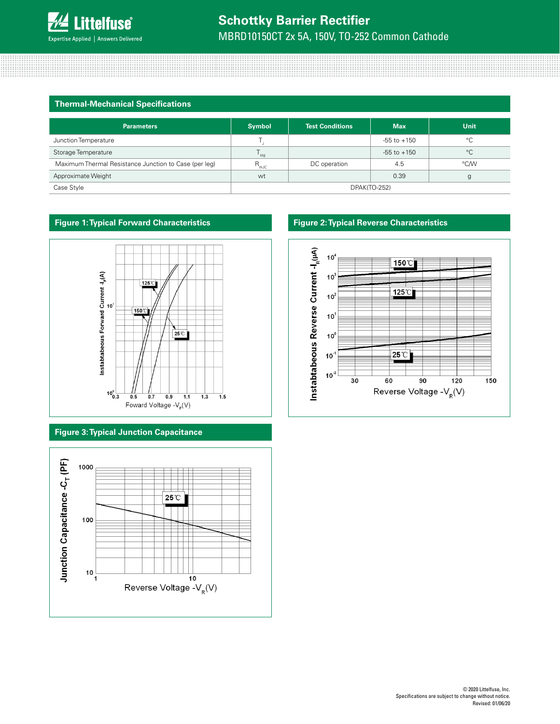

#### **Thermal-Mechanical Specifications**

| <b>Parameters</b>                                     | <b>Symbol</b>          | <b>Test Conditions</b> | <b>Max</b>      | <b>Unit</b>  |
|-------------------------------------------------------|------------------------|------------------------|-----------------|--------------|
| Junction Temperature                                  |                        |                        | $-55$ to $+150$ | $^{\circ}$ C |
| Storage Temperature                                   | $\frac{1}{\text{stq}}$ |                        | $-55$ to $+150$ | $^{\circ}C$  |
| Maximum Thermal Resistance Junction to Case (per leg) | $R_{thJC}$             | DC operation           | 4.5             | °C/W         |
| Approximate Weight                                    | wt                     |                        | 0.39            | g            |
| Case Style                                            | DPAK(TO-252)           |                        |                 |              |



#### **Figure 3: Typical Junction Capacitance**



#### **Figure 1: Typical Forward Characteristics Figure 2: Typical Reverse Characteristics**